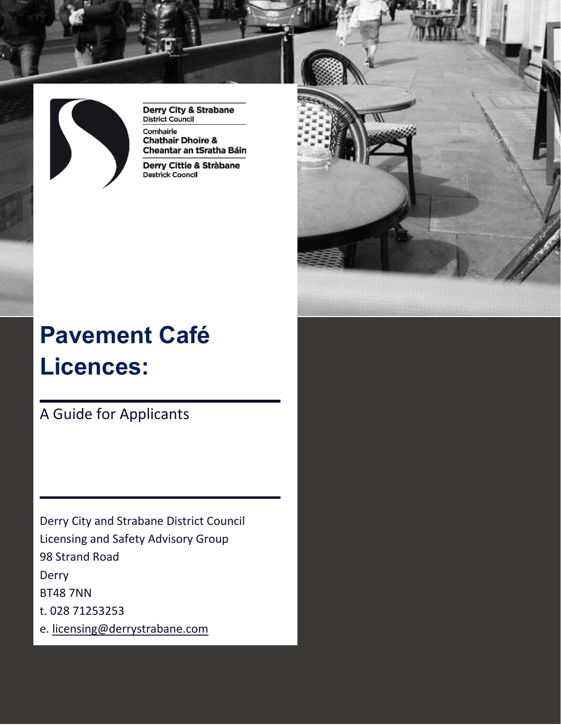

**Derry City & Strabane District Council** 

Comhairle **Chathair Dhoire &** Cheantar an tSratha Báin

Derry Cittie & Stràbane **Destrick Cooncil** 



# **Pavement Café Licences:**

A Guide for Applicants

Derry City and Strabane District Council Licensing and Safety Advisory Group 98 Strand Road Derry BT48 7NN t. 028 71253253 e. [licensing@derrystrabane.com](mailto:licensing@derrystrabane.com)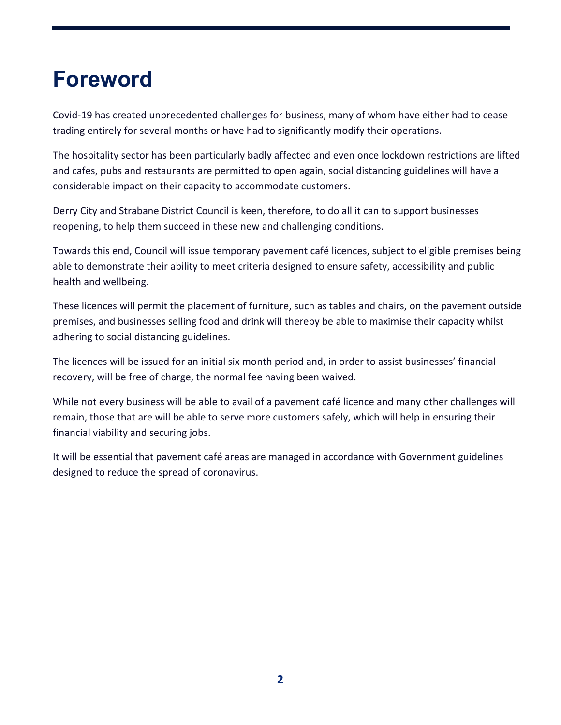## **Foreword**

Covid-19 has created unprecedented challenges for business, many of whom have either had to cease trading entirely for several months or have had to significantly modify their operations.

The hospitality sector has been particularly badly affected and even once lockdown restrictions are lifted and cafes, pubs and restaurants are permitted to open again, social distancing guidelines will have a considerable impact on their capacity to accommodate customers.

Derry City and Strabane District Council is keen, therefore, to do all it can to support businesses reopening, to help them succeed in these new and challenging conditions.

Towards this end, Council will issue temporary pavement café licences, subject to eligible premises being able to demonstrate their ability to meet criteria designed to ensure safety, accessibility and public health and wellbeing.

These licences will permit the placement of furniture, such as tables and chairs, on the pavement outside premises, and businesses selling food and drink will thereby be able to maximise their capacity whilst adhering to social distancing guidelines.

The licences will be issued for an initial six month period and, in order to assist businesses' financial recovery, will be free of charge, the normal fee having been waived.

While not every business will be able to avail of a pavement café licence and many other challenges will remain, those that are will be able to serve more customers safely, which will help in ensuring their financial viability and securing jobs.

It will be essential that pavement café areas are managed in accordance with Government guidelines designed to reduce the spread of coronavirus.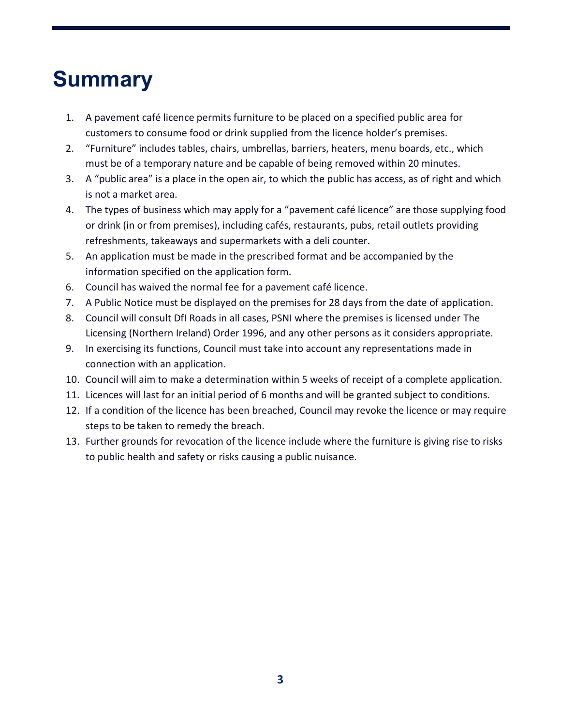## **Summary**

- 1. A pavement café licence permits furniture to be placed on a specified public area for customers to consume food or drink supplied from the licence holder's premises.
- 2. "Furniture" includes tables, chairs, umbrellas, barriers, heaters, menu boards, etc., which must be of a temporary nature and be capable of being removed within 20 minutes.
- 3. A "public area" is a place in the open air, to which the public has access, as of right and which is not a market area.
- 4. The types of business which may apply for a "pavement café licence" are those supplying food or drink (in or from premises), including cafés, restaurants, pubs, retail outlets providing refreshments, takeaways and supermarkets with a deli counter.
- 5. An application must be made in the prescribed format and be accompanied by the information specified on the application form.
- 6. Council has waived the normal fee for a pavement café licence.
- 7. A Public Notice must be displayed on the premises for 28 days from the date of application.
- 8. Council will consult DfI Roads in all cases, PSNI where the premises is licensed under The Licensing (Northern Ireland) Order 1996, and any other persons as it considers appropriate.
- 9. In exercising its functions, Council must take into account any representations made in connection with an application.
- 10. Council will aim to make a determination within 5 weeks of receipt of a complete application.
- 11. Licences will last for an initial period of 6 months and will be granted subject to conditions.
- 12. If a condition of the licence has been breached, Council may revoke the licence or may require steps to be taken to remedy the breach.
- 13. Further grounds for revocation of the licence include where the furniture is giving rise to risks to public health and safety or risks causing a public nuisance.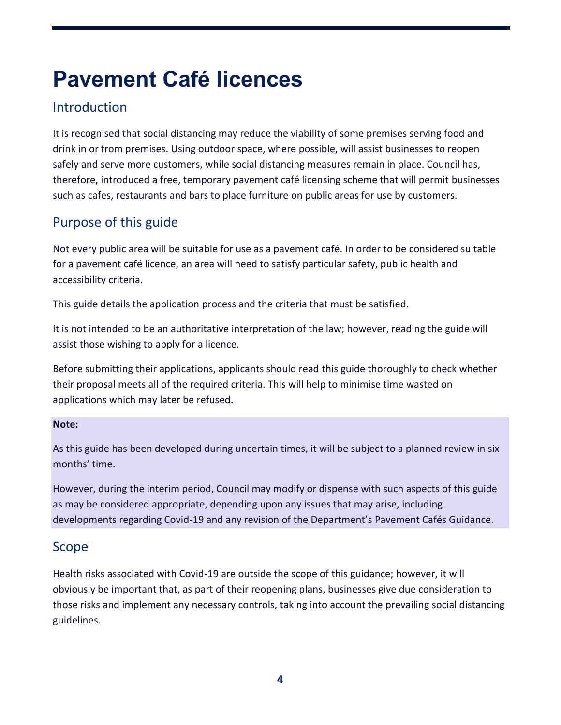## **Pavement Café licences**

### **Introduction**

It is recognised that social distancing may reduce the viability of some premises serving food and drink in or from premises. Using outdoor space, where possible, will assist businesses to reopen safely and serve more customers, while social distancing measures remain in place. Council has, therefore, introduced a free, temporary pavement café licensing scheme that will permit businesses such as cafes, restaurants and bars to place furniture on public areas for use by customers.

## Purpose of this guide

Not every public area will be suitable for use as a pavement café. In order to be considered suitable for a pavement café licence, an area will need to satisfy particular safety, public health and accessibility criteria.

This guide details the application process and the criteria that must be satisfied.

It is not intended to be an authoritative interpretation of the law; however, reading the guide will assist those wishing to apply for a licence.

Before submitting their applications, applicants should read this guide thoroughly to check whether their proposal meets all of the required criteria. This will help to minimise time wasted on applications which may later be refused.

#### **Note:**

As this guide has been developed during uncertain times, it will be subject to a planned review in six months' time.

However, during the interim period, Council may modify or dispense with such aspects of this guide as may be considered appropriate, depending upon any issues that may arise, including developments regarding Covid-19 and any revision of the Department's Pavement Cafés Guidance.

#### Scope

Health risks associated with Covid-19 are outside the scope of this guidance; however, it will obviously be important that, as part of their reopening plans, businesses give due consideration to those risks and implement any necessary controls, taking into account the prevailing social distancing guidelines.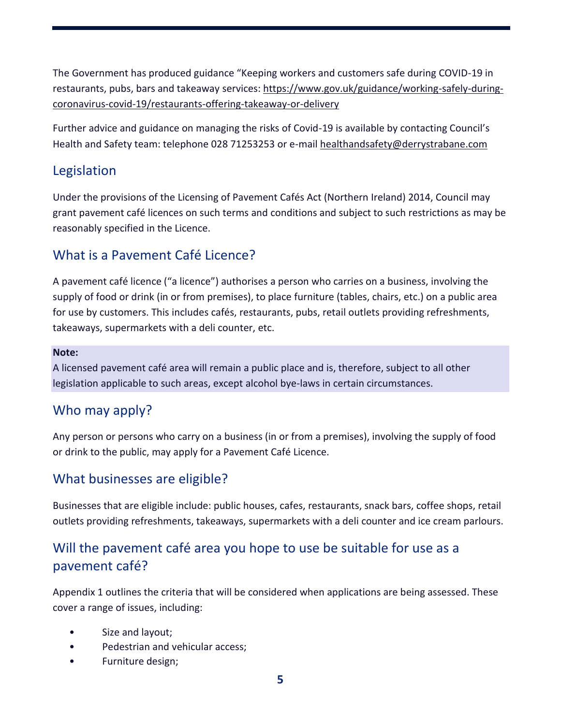The Government has produced guidance "Keeping workers and customers safe during COVID-19 in restaurants, pubs, bars and takeaway services: [https://www.gov.uk/guidance/working-safely-during](https://www.gov.uk/guidance/working-safely-during-coronavirus-covid-19/restaurants-offering-takeaway-or-delivery)[coronavirus-covid-19/restaurants-offering-takeaway-or-delivery](https://www.gov.uk/guidance/working-safely-during-coronavirus-covid-19/restaurants-offering-takeaway-or-delivery)

Further advice and guidance on managing the risks of Covid-19 is available by contacting Council's Health and Safety team: telephone 028 71253253 or e-mail [healthandsafety@derrystrabane.com](mailto:healthandsafety@derrystrabane.com)

#### Legislation

Under the provisions of the Licensing of Pavement Cafés Act (Northern Ireland) 2014, Council may grant pavement café licences on such terms and conditions and subject to such restrictions as may be reasonably specified in the Licence.

#### What is a Pavement Café Licence?

A pavement café licence ("a licence") authorises a person who carries on a business, involving the supply of food or drink (in or from premises), to place furniture (tables, chairs, etc.) on a public area for use by customers. This includes cafés, restaurants, pubs, retail outlets providing refreshments, takeaways, supermarkets with a deli counter, etc.

#### **Note:**

A licensed pavement café area will remain a public place and is, therefore, subject to all other legislation applicable to such areas, except alcohol bye-laws in certain circumstances.

#### Who may apply?

Any person or persons who carry on a business (in or from a premises), involving the supply of food or drink to the public, may apply for a Pavement Café Licence.

#### What businesses are eligible?

Businesses that are eligible include: public houses, cafes, restaurants, snack bars, coffee shops, retail outlets providing refreshments, takeaways, supermarkets with a deli counter and ice cream parlours.

### Will the pavement café area you hope to use be suitable for use as a pavement café?

Appendix 1 outlines the criteria that will be considered when applications are being assessed. These cover a range of issues, including:

- Size and layout;
- Pedestrian and vehicular access;
- Furniture design;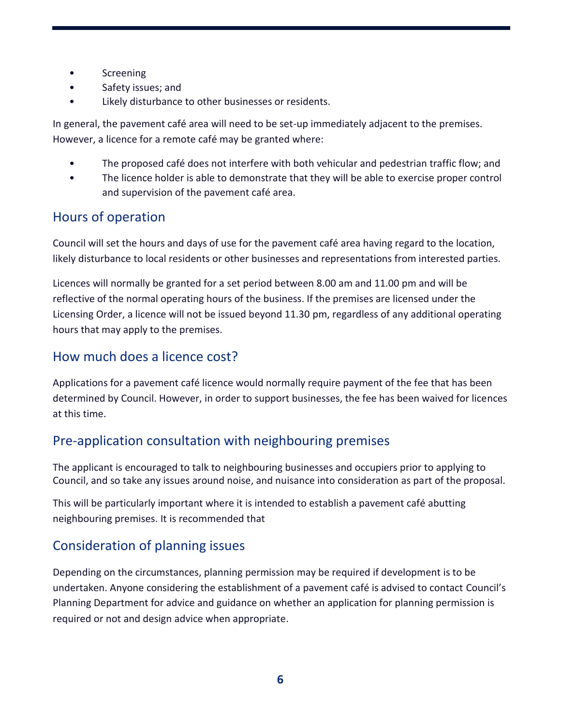- Screening
- Safety issues; and
- Likely disturbance to other businesses or residents.

In general, the pavement café area will need to be set-up immediately adjacent to the premises. However, a licence for a remote café may be granted where:

- The proposed café does not interfere with both vehicular and pedestrian traffic flow; and
- The licence holder is able to demonstrate that they will be able to exercise proper control and supervision of the pavement café area.

#### Hours of operation

Council will set the hours and days of use for the pavement café area having regard to the location, likely disturbance to local residents or other businesses and representations from interested parties.

Licences will normally be granted for a set period between 8.00 am and 11.00 pm and will be reflective of the normal operating hours of the business. If the premises are licensed under the Licensing Order, a licence will not be issued beyond 11.30 pm, regardless of any additional operating hours that may apply to the premises.

#### How much does a licence cost?

Applications for a pavement café licence would normally require payment of the fee that has been determined by Council. However, in order to support businesses, the fee has been waived for licences at this time.

#### Pre-application consultation with neighbouring premises

The applicant is encouraged to talk to neighbouring businesses and occupiers prior to applying to Council, and so take any issues around noise, and nuisance into consideration as part of the proposal.

This will be particularly important where it is intended to establish a pavement café abutting neighbouring premises. It is recommended that

### Consideration of planning issues

Depending on the circumstances, planning permission may be required if development is to be undertaken. Anyone considering the establishment of a pavement café is advised to contact Council's Planning Department for advice and guidance on whether an application for planning permission is required or not and design advice when appropriate.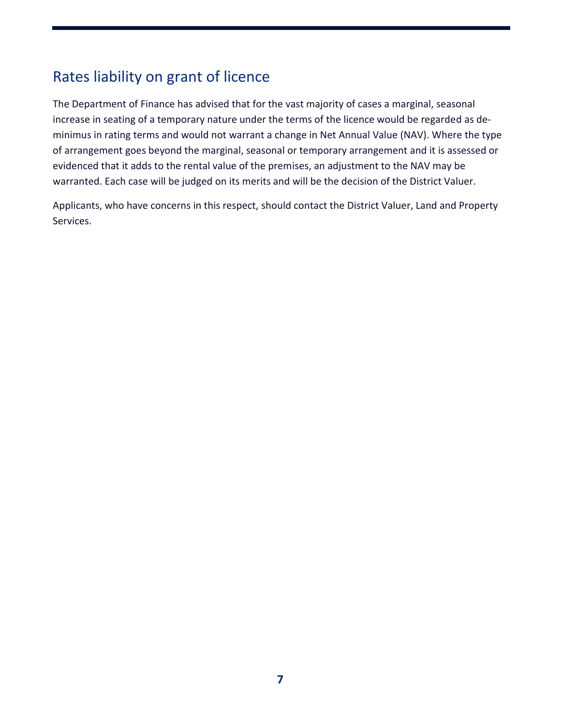## Rates liability on grant of licence

The Department of Finance has advised that for the vast majority of cases a marginal, seasonal increase in seating of a temporary nature under the terms of the licence would be regarded as deminimus in rating terms and would not warrant a change in Net Annual Value (NAV). Where the type of arrangement goes beyond the marginal, seasonal or temporary arrangement and it is assessed or evidenced that it adds to the rental value of the premises, an adjustment to the NAV may be warranted. Each case will be judged on its merits and will be the decision of the District Valuer.

Applicants, who have concerns in this respect, should contact the District Valuer, Land and Property Services.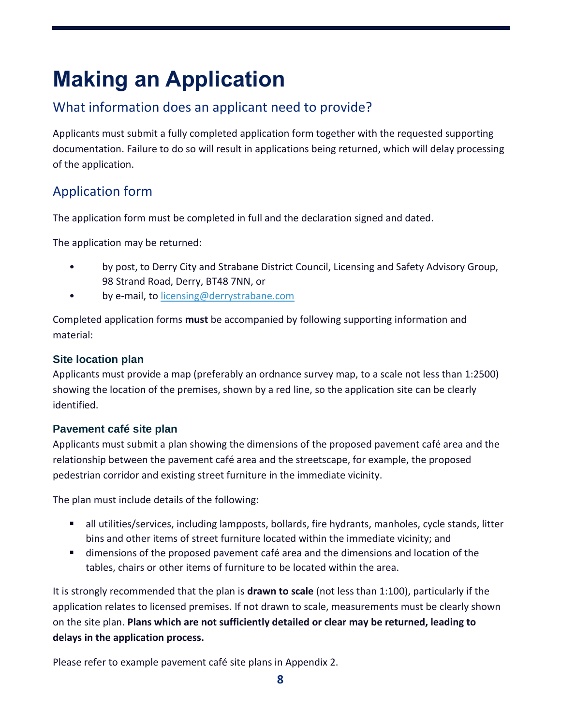## **Making an Application**

## What information does an applicant need to provide?

Applicants must submit a fully completed application form together with the requested supporting documentation. Failure to do so will result in applications being returned, which will delay processing of the application.

## Application form

The application form must be completed in full and the declaration signed and dated.

The application may be returned:

- by post, to Derry City and Strabane District Council, Licensing and Safety Advisory Group, 98 Strand Road, Derry, BT48 7NN, or
- by e-mail, to [licensing@derrystrabane.com](mailto:licensing@derrystrabane.com)

Completed application forms **must** be accompanied by following supporting information and material:

#### **Site location plan**

Applicants must provide a map (preferably an ordnance survey map, to a scale not less than 1:2500) showing the location of the premises, shown by a red line, so the application site can be clearly identified.

#### **Pavement café site plan**

Applicants must submit a plan showing the dimensions of the proposed pavement café area and the relationship between the pavement café area and the streetscape, for example, the proposed pedestrian corridor and existing street furniture in the immediate vicinity.

The plan must include details of the following:

- all utilities/services, including lampposts, bollards, fire hydrants, manholes, cycle stands, litter bins and other items of street furniture located within the immediate vicinity; and
- dimensions of the proposed pavement café area and the dimensions and location of the tables, chairs or other items of furniture to be located within the area.

It is strongly recommended that the plan is **drawn to scale** (not less than 1:100), particularly if the application relates to licensed premises. If not drawn to scale, measurements must be clearly shown on the site plan. **Plans which are not sufficiently detailed or clear may be returned, leading to delays in the application process.**

Please refer to example pavement café site plans in Appendix 2.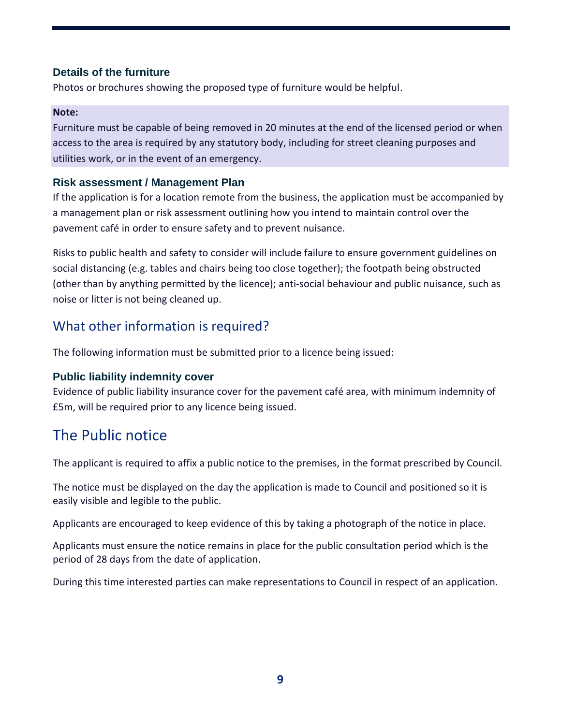#### **Details of the furniture**

Photos or brochures showing the proposed type of furniture would be helpful.

#### **Note:**

Furniture must be capable of being removed in 20 minutes at the end of the licensed period or when access to the area is required by any statutory body, including for street cleaning purposes and utilities work, or in the event of an emergency.

#### **Risk assessment / Management Plan**

If the application is for a location remote from the business, the application must be accompanied by a management plan or risk assessment outlining how you intend to maintain control over the pavement café in order to ensure safety and to prevent nuisance.

Risks to public health and safety to consider will include failure to ensure government guidelines on social distancing (e.g. tables and chairs being too close together); the footpath being obstructed (other than by anything permitted by the licence); anti-social behaviour and public nuisance, such as noise or litter is not being cleaned up.

#### What other information is required?

The following information must be submitted prior to a licence being issued:

#### **Public liability indemnity cover**

Evidence of public liability insurance cover for the pavement café area, with minimum indemnity of £5m, will be required prior to any licence being issued.

## The Public notice

The applicant is required to affix a public notice to the premises, in the format prescribed by Council.

The notice must be displayed on the day the application is made to Council and positioned so it is easily visible and legible to the public.

Applicants are encouraged to keep evidence of this by taking a photograph of the notice in place.

Applicants must ensure the notice remains in place for the public consultation period which is the period of 28 days from the date of application.

During this time interested parties can make representations to Council in respect of an application.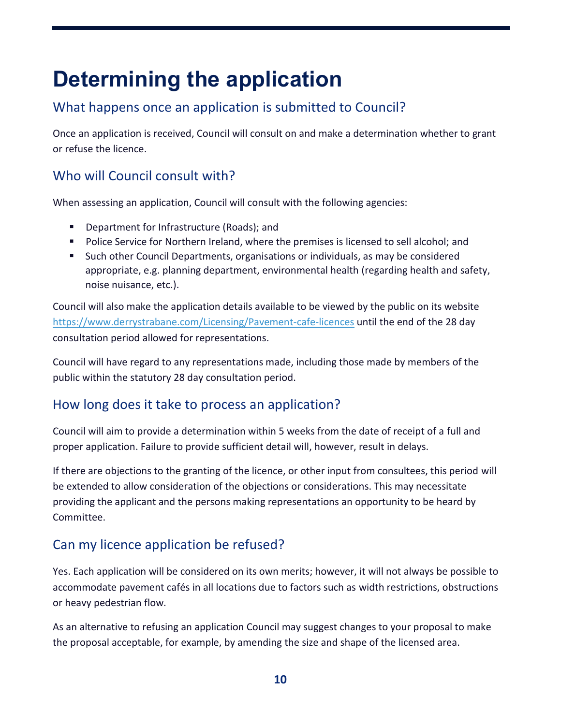## **Determining the application**

## What happens once an application is submitted to Council?

Once an application is received, Council will consult on and make a determination whether to grant or refuse the licence.

#### Who will Council consult with?

When assessing an application, Council will consult with the following agencies:

- **Department for Infrastructure (Roads); and**
- **Police Service for Northern Ireland, where the premises is licensed to sell alcohol; and**
- **Such other Council Departments, organisations or individuals, as may be considered** appropriate, e.g. planning department, environmental health (regarding health and safety, noise nuisance, etc.).

Council will also make the application details available to be viewed by the public on its website <https://www.derrystrabane.com/Licensing/Pavement-cafe-licences> until the end of the 28 day consultation period allowed for representations.

Council will have regard to any representations made, including those made by members of the public within the statutory 28 day consultation period.

### How long does it take to process an application?

Council will aim to provide a determination within 5 weeks from the date of receipt of a full and proper application. Failure to provide sufficient detail will, however, result in delays.

If there are objections to the granting of the licence, or other input from consultees, this period will be extended to allow consideration of the objections or considerations. This may necessitate providing the applicant and the persons making representations an opportunity to be heard by Committee.

## Can my licence application be refused?

Yes. Each application will be considered on its own merits; however, it will not always be possible to accommodate pavement cafés in all locations due to factors such as width restrictions, obstructions or heavy pedestrian flow.

As an alternative to refusing an application Council may suggest changes to your proposal to make the proposal acceptable, for example, by amending the size and shape of the licensed area.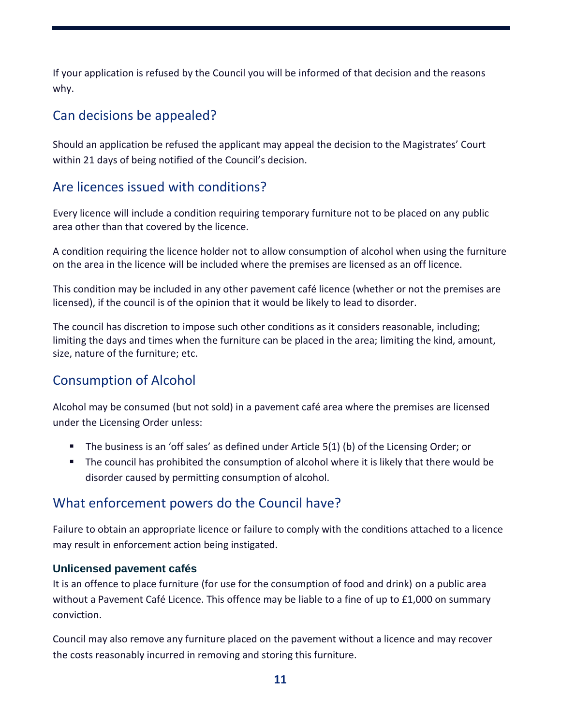If your application is refused by the Council you will be informed of that decision and the reasons why.

#### Can decisions be appealed?

Should an application be refused the applicant may appeal the decision to the Magistrates' Court within 21 days of being notified of the Council's decision.

#### Are licences issued with conditions?

Every licence will include a condition requiring temporary furniture not to be placed on any public area other than that covered by the licence.

A condition requiring the licence holder not to allow consumption of alcohol when using the furniture on the area in the licence will be included where the premises are licensed as an off licence.

This condition may be included in any other pavement café licence (whether or not the premises are licensed), if the council is of the opinion that it would be likely to lead to disorder.

The council has discretion to impose such other conditions as it considers reasonable, including; limiting the days and times when the furniture can be placed in the area; limiting the kind, amount, size, nature of the furniture; etc.

### Consumption of Alcohol

Alcohol may be consumed (but not sold) in a pavement café area where the premises are licensed under the Licensing Order unless:

- The business is an 'off sales' as defined under Article 5(1) (b) of the Licensing Order; or
- The council has prohibited the consumption of alcohol where it is likely that there would be disorder caused by permitting consumption of alcohol.

#### What enforcement powers do the Council have?

Failure to obtain an appropriate licence or failure to comply with the conditions attached to a licence may result in enforcement action being instigated.

#### **Unlicensed pavement cafés**

It is an offence to place furniture (for use for the consumption of food and drink) on a public area without a Pavement Café Licence. This offence may be liable to a fine of up to £1,000 on summary conviction.

Council may also remove any furniture placed on the pavement without a licence and may recover the costs reasonably incurred in removing and storing this furniture.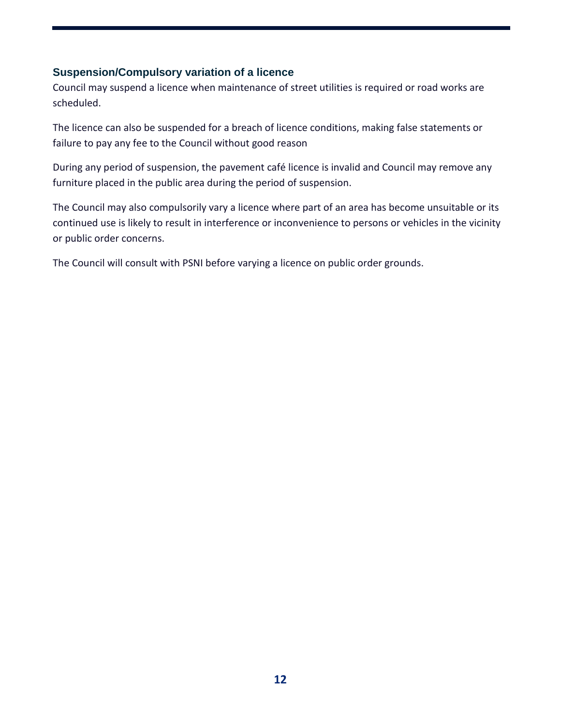#### **Suspension/Compulsory variation of a licence**

Council may suspend a licence when maintenance of street utilities is required or road works are scheduled.

The licence can also be suspended for a breach of licence conditions, making false statements or failure to pay any fee to the Council without good reason

During any period of suspension, the pavement café licence is invalid and Council may remove any furniture placed in the public area during the period of suspension.

The Council may also compulsorily vary a licence where part of an area has become unsuitable or its continued use is likely to result in interference or inconvenience to persons or vehicles in the vicinity or public order concerns.

The Council will consult with PSNI before varying a licence on public order grounds.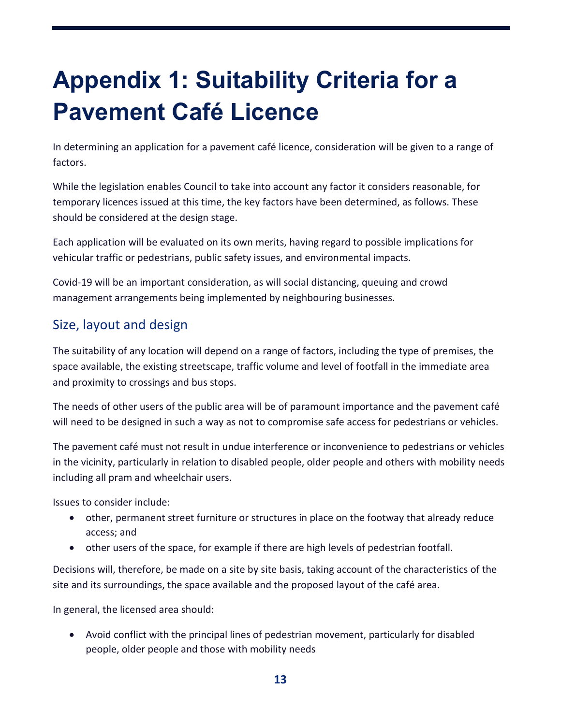# **Appendix 1: Suitability Criteria for a Pavement Café Licence**

In determining an application for a pavement café licence, consideration will be given to a range of factors.

While the legislation enables Council to take into account any factor it considers reasonable, for temporary licences issued at this time, the key factors have been determined, as follows. These should be considered at the design stage.

Each application will be evaluated on its own merits, having regard to possible implications for vehicular traffic or pedestrians, public safety issues, and environmental impacts.

Covid-19 will be an important consideration, as will social distancing, queuing and crowd management arrangements being implemented by neighbouring businesses.

### Size, layout and design

The suitability of any location will depend on a range of factors, including the type of premises, the space available, the existing streetscape, traffic volume and level of footfall in the immediate area and proximity to crossings and bus stops.

The needs of other users of the public area will be of paramount importance and the pavement café will need to be designed in such a way as not to compromise safe access for pedestrians or vehicles.

The pavement café must not result in undue interference or inconvenience to pedestrians or vehicles in the vicinity, particularly in relation to disabled people, older people and others with mobility needs including all pram and wheelchair users.

Issues to consider include:

- other, permanent street furniture or structures in place on the footway that already reduce access; and
- other users of the space, for example if there are high levels of pedestrian footfall.

Decisions will, therefore, be made on a site by site basis, taking account of the characteristics of the site and its surroundings, the space available and the proposed layout of the café area.

In general, the licensed area should:

 Avoid conflict with the principal lines of pedestrian movement, particularly for disabled people, older people and those with mobility needs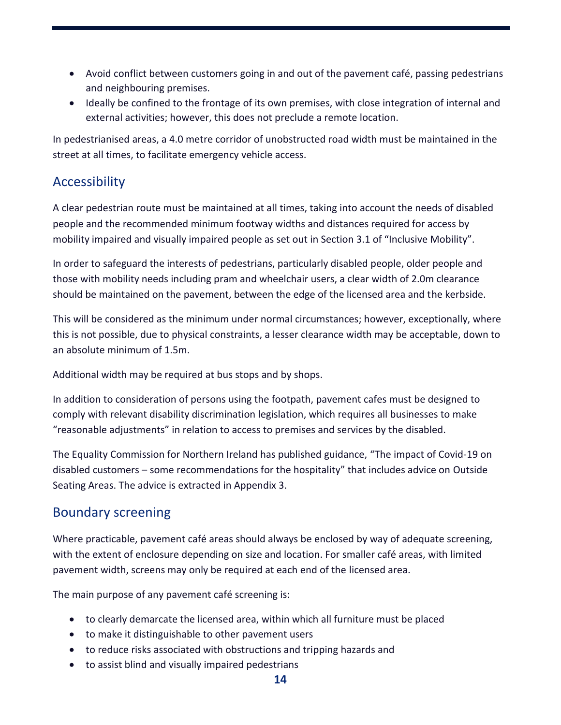- Avoid conflict between customers going in and out of the pavement café, passing pedestrians and neighbouring premises.
- Ideally be confined to the frontage of its own premises, with close integration of internal and external activities; however, this does not preclude a remote location.

In pedestrianised areas, a 4.0 metre corridor of unobstructed road width must be maintained in the street at all times, to facilitate emergency vehicle access.

#### Accessibility

A clear pedestrian route must be maintained at all times, taking into account the needs of disabled people and the recommended minimum footway widths and distances required for access by mobility impaired and visually impaired people as set out in Section 3.1 of "Inclusive Mobility".

In order to safeguard the interests of pedestrians, particularly disabled people, older people and those with mobility needs including pram and wheelchair users, a clear width of 2.0m clearance should be maintained on the pavement, between the edge of the licensed area and the kerbside.

This will be considered as the minimum under normal circumstances; however, exceptionally, where this is not possible, due to physical constraints, a lesser clearance width may be acceptable, down to an absolute minimum of 1.5m.

Additional width may be required at bus stops and by shops.

In addition to consideration of persons using the footpath, pavement cafes must be designed to comply with relevant disability discrimination legislation, which requires all businesses to make "reasonable adjustments" in relation to access to premises and services by the disabled.

The Equality Commission for Northern Ireland has published guidance, "The impact of Covid-19 on disabled customers – some recommendations for the hospitality" that includes advice on Outside Seating Areas. The advice is extracted in Appendix 3.

#### Boundary screening

Where practicable, pavement café areas should always be enclosed by way of adequate screening, with the extent of enclosure depending on size and location. For smaller café areas, with limited pavement width, screens may only be required at each end of the licensed area.

The main purpose of any pavement café screening is:

- to clearly demarcate the licensed area, within which all furniture must be placed
- to make it distinguishable to other pavement users
- to reduce risks associated with obstructions and tripping hazards and
- to assist blind and visually impaired pedestrians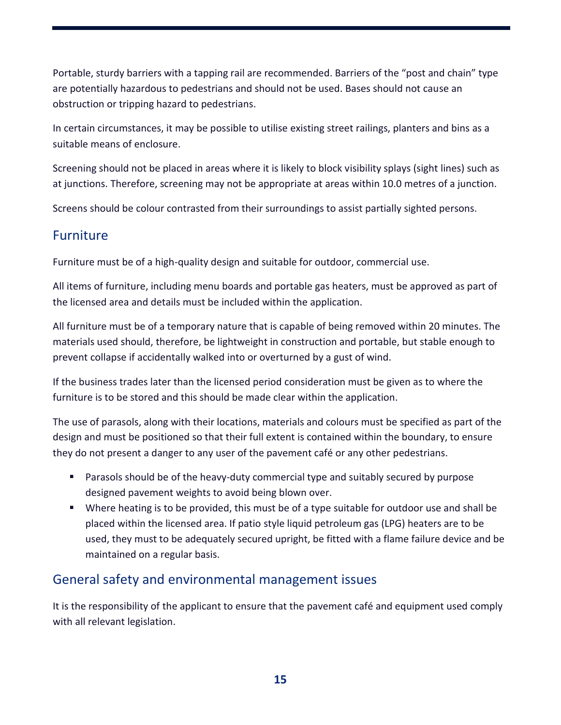Portable, sturdy barriers with a tapping rail are recommended. Barriers of the "post and chain" type are potentially hazardous to pedestrians and should not be used. Bases should not cause an obstruction or tripping hazard to pedestrians.

In certain circumstances, it may be possible to utilise existing street railings, planters and bins as a suitable means of enclosure.

Screening should not be placed in areas where it is likely to block visibility splays (sight lines) such as at junctions. Therefore, screening may not be appropriate at areas within 10.0 metres of a junction.

Screens should be colour contrasted from their surroundings to assist partially sighted persons.

#### Furniture

Furniture must be of a high-quality design and suitable for outdoor, commercial use.

All items of furniture, including menu boards and portable gas heaters, must be approved as part of the licensed area and details must be included within the application.

All furniture must be of a temporary nature that is capable of being removed within 20 minutes. The materials used should, therefore, be lightweight in construction and portable, but stable enough to prevent collapse if accidentally walked into or overturned by a gust of wind.

If the business trades later than the licensed period consideration must be given as to where the furniture is to be stored and this should be made clear within the application.

The use of parasols, along with their locations, materials and colours must be specified as part of the design and must be positioned so that their full extent is contained within the boundary, to ensure they do not present a danger to any user of the pavement café or any other pedestrians.

- Parasols should be of the heavy-duty commercial type and suitably secured by purpose designed pavement weights to avoid being blown over.
- Where heating is to be provided, this must be of a type suitable for outdoor use and shall be placed within the licensed area. If patio style liquid petroleum gas (LPG) heaters are to be used, they must to be adequately secured upright, be fitted with a flame failure device and be maintained on a regular basis.

#### General safety and environmental management issues

It is the responsibility of the applicant to ensure that the pavement café and equipment used comply with all relevant legislation.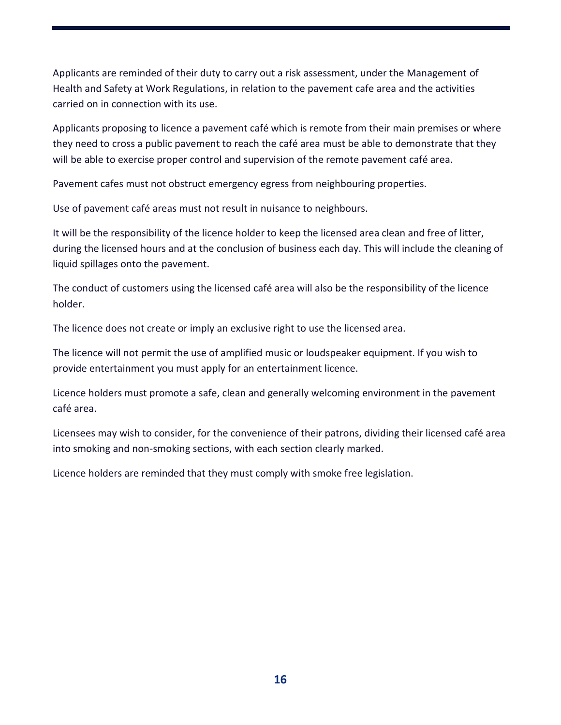Applicants are reminded of their duty to carry out a risk assessment, under the Management of Health and Safety at Work Regulations, in relation to the pavement cafe area and the activities carried on in connection with its use.

Applicants proposing to licence a pavement café which is remote from their main premises or where they need to cross a public pavement to reach the café area must be able to demonstrate that they will be able to exercise proper control and supervision of the remote pavement café area.

Pavement cafes must not obstruct emergency egress from neighbouring properties.

Use of pavement café areas must not result in nuisance to neighbours.

It will be the responsibility of the licence holder to keep the licensed area clean and free of litter, during the licensed hours and at the conclusion of business each day. This will include the cleaning of liquid spillages onto the pavement.

The conduct of customers using the licensed café area will also be the responsibility of the licence holder.

The licence does not create or imply an exclusive right to use the licensed area.

The licence will not permit the use of amplified music or loudspeaker equipment. If you wish to provide entertainment you must apply for an entertainment licence.

Licence holders must promote a safe, clean and generally welcoming environment in the pavement café area.

Licensees may wish to consider, for the convenience of their patrons, dividing their licensed café area into smoking and non-smoking sections, with each section clearly marked.

Licence holders are reminded that they must comply with smoke free legislation.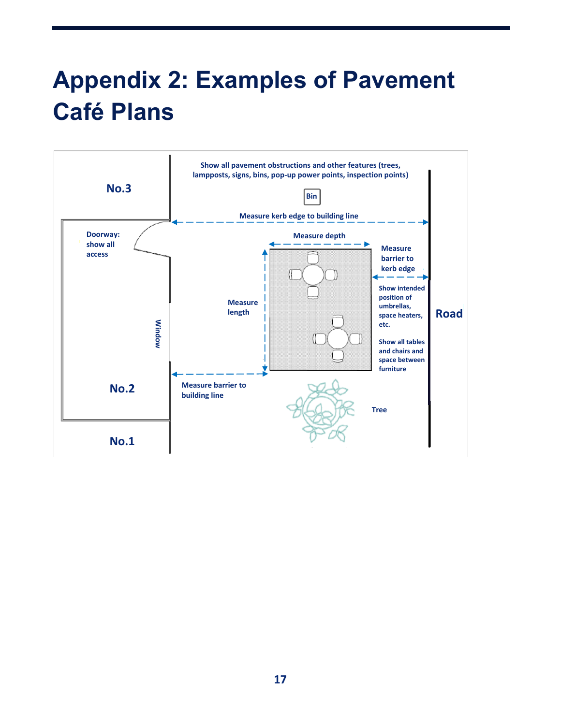# **Appendix 2: Examples of Pavement Café Plans**

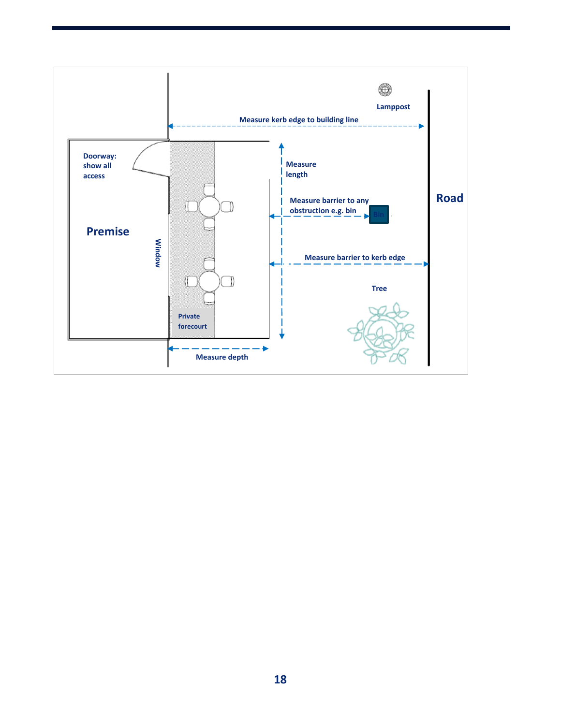